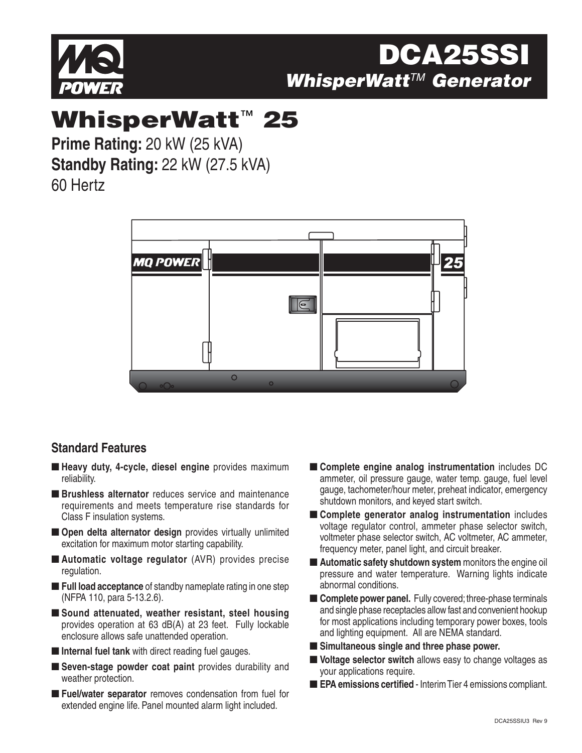

# **DCA25S WhisperWatt**TM **Generator**

# **WhisperWatt**™ **25**

**Prime Rating:** 20 kW (25 kVA) **Standby Rating:** 22 kW (27.5 kVA) 60 Hertz

> **MQ POWER**  $\sqrt{e}$  $\circ$

### **Standard Features**

- **Heavy duty, 4-cycle, diesel engine** provides maximum reliability.
- **Brushless alternator** reduces service and maintenance requirements and meets temperature rise standards for Class F insulation systems.
- **Open delta alternator design** provides virtually unlimited excitation for maximum motor starting capability.
- **Automatic voltage regulator** (AVR) provides precise regulation.
- **Full load acceptance** of standby nameplate rating in one step (NFPA 110, para 5-13.2.6).
- Sound attenuated, weather resistant, steel housing provides operation at 63 dB(A) at 23 feet. Fully lockable enclosure allows safe unattended operation.
- **Internal fuel tank** with direct reading fuel gauges.
- **Seven-stage powder coat paint** provides durability and weather protection.
- **Fuel/water separator** removes condensation from fuel for extended engine life. Panel mounted alarm light included.
- **Complete engine analog instrumentation** includes DC ammeter, oil pressure gauge, water temp. gauge, fuel level gauge, tachometer/hour meter, preheat indicator, emergency shutdown monitors, and keyed start switch.
- **Complete generator analog instrumentation** includes voltage regulator control, ammeter phase selector switch, voltmeter phase selector switch, AC voltmeter, AC ammeter, frequency meter, panel light, and circuit breaker.
- **Automatic safety shutdown system** monitors the engine oil pressure and water temperature. Warning lights indicate abnormal conditions.
- **Complete power panel.** Fully covered; three-phase terminals and single phase receptacles allow fast and convenient hookup for most applications including temporary power boxes, tools and lighting equipment. All are NEMA standard.
- Simultaneous single and three phase power.
- **Voltage selector switch** allows easy to change voltages as your applications require.
- **EPA emissions certified** Interim Tier 4 emissions compliant.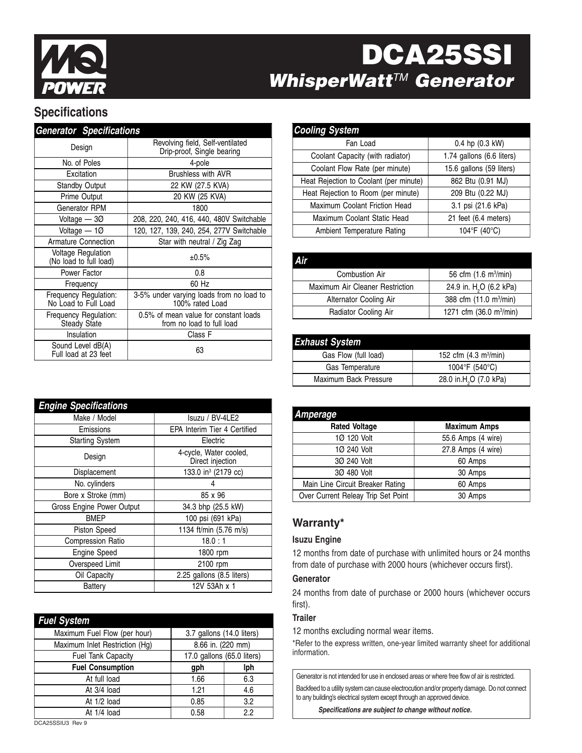

# **DCA25SSI WhisperWatt™ Generator**

## **Specifications**

| <b>Generator Specifications</b>                     |                                                                    |  |
|-----------------------------------------------------|--------------------------------------------------------------------|--|
| Design                                              | Revolving field, Self-ventilated<br>Drip-proof, Single bearing     |  |
| No. of Poles                                        | 4-pole                                                             |  |
| Excitation                                          | <b>Brushless with AVR</b>                                          |  |
| <b>Standby Output</b>                               | 22 KW (27.5 KVA)                                                   |  |
| Prime Output                                        | 20 KW (25 KVA)                                                     |  |
| Generator RPM                                       | 1800                                                               |  |
| Voltage $-30$                                       | 208, 220, 240, 416, 440, 480V Switchable                           |  |
| Voltage $-10$                                       | 120, 127, 139, 240, 254, 277V Switchable                           |  |
| <b>Armature Connection</b>                          | Star with neutral / Zig Zag                                        |  |
| <b>Voltage Regulation</b><br>(No load to full load) | ±0.5%                                                              |  |
| Power Factor                                        | 0.8                                                                |  |
| Frequency                                           | 60 Hz                                                              |  |
| Frequency Regulation:<br>No Load to Full Load       | 3-5% under varying loads from no load to<br>100% rated Load        |  |
| Frequency Regulation:<br><b>Steady State</b>        | 0.5% of mean value for constant loads<br>from no load to full load |  |
| Insulation                                          | Class F                                                            |  |
| Sound Level dB(A)<br>Full load at 23 feet           | 63                                                                 |  |

| <b>Cooling System</b>                  |                           |
|----------------------------------------|---------------------------|
| Fan Load                               | 0.4 hp (0.3 kW)           |
| Coolant Capacity (with radiator)       | 1.74 gallons (6.6 liters) |
| Coolant Flow Rate (per minute)         | 15.6 gallons (59 liters)  |
| Heat Rejection to Coolant (per minute) | 862 Btu (0.91 MJ)         |
| Heat Rejection to Room (per minute)    | 209 Btu (0.22 MJ)         |
| Maximum Coolant Friction Head          | 3.1 psi (21.6 kPa)        |
| Maximum Coolant Static Head            | 21 feet (6.4 meters)      |
| Ambient Temperature Rating             | 104°F (40°C)              |

| Air                             |                                          |
|---------------------------------|------------------------------------------|
| Combustion Air                  | 56 cfm $(1.6 \text{ m}^3/\text{min})$    |
| Maximum Air Cleaner Restriction | 24.9 in. H <sub>2</sub> O (6.2 kPa)      |
| Alternator Cooling Air          | 388 cfm (11.0 m <sup>3</sup> /min)       |
| Radiator Cooling Air            | 1271 cfm $(36.0 \text{ m}^3/\text{min})$ |
|                                 |                                          |

| <b>Exhaust System</b> |                                        |
|-----------------------|----------------------------------------|
| Gas Flow (full load)  | 152 cfm $(4.3 \text{ m}^3/\text{min})$ |
| Gas Temperature       | 1004°F (540°C)                         |
| Maximum Back Pressure | 28.0 in.H <sub>2</sub> O (7.0 kPa)     |

| Amperage                           |                     |
|------------------------------------|---------------------|
| <b>Rated Voltage</b>               | <b>Maximum Amps</b> |
| 1Ø 120 Volt                        | 55.6 Amps (4 wire)  |
| 1Ø 240 Volt                        | 27.8 Amps (4 wire)  |
| 30 240 Volt                        | 60 Amps             |
| 30 480 Volt                        | 30 Amps             |
| Main Line Circuit Breaker Rating   | 60 Amps             |
| Over Current Releay Trip Set Point | 30 Amps             |

#### **Warranty\***

#### **Isuzu Engine**

12 months from date of purchase with unlimited hours or 24 months from date of purchase with 2000 hours (whichever occurs first).

#### **Generator**

24 months from date of purchase or 2000 hours (whichever occurs first).

#### **Trailer**

12 months excluding normal wear items.

\*Refer to the express written, one-year limited warranty sheet for additional information.

Generator is not intended for use in enclosed areas or where free flow of air is restricted. Backfeed to a utility system can cause electrocution and/or property damage. Do not connect to any building's electrical system except through an approved device.

**Specifications are subject to change without notice.**

| <b>Engine Specifications</b> |                                            |  |
|------------------------------|--------------------------------------------|--|
| Make / Model                 | Isuzu / BV-4LE2                            |  |
| Emissions                    | <b>EPA Interim Tier 4 Certified</b>        |  |
| <b>Starting System</b>       | Electric                                   |  |
| Design                       | 4-cycle, Water cooled,<br>Direct injection |  |
| Displacement                 | 133.0 in <sup>3</sup> (2179 cc)            |  |
| No. cylinders                | 4                                          |  |
| Bore x Stroke (mm)           | 85 x 96                                    |  |
| Gross Engine Power Output    | 34.3 bhp (25.5 kW)                         |  |
| BMEP                         | 100 psi (691 kPa)                          |  |
| Piston Speed                 | 1134 ft/min (5.76 m/s)                     |  |
| <b>Compression Ratio</b>     | 18.0 : 1                                   |  |
| <b>Engine Speed</b>          | 1800 rpm                                   |  |
| Overspeed Limit              | 2100 rpm                                   |  |
| Oil Capacity                 | 2.25 gallons (8.5 liters)                  |  |
| Battery                      | 12V 53Ah x 1                               |  |

| <b>Fuel System</b>                                  |                            |     |
|-----------------------------------------------------|----------------------------|-----|
| Maximum Fuel Flow (per hour)                        | 3.7 gallons (14.0 liters)  |     |
| 8.66 in. (220 mm)<br>Maximum Inlet Restriction (Hg) |                            |     |
| Fuel Tank Capacity                                  | 17.0 gallons (65.0 liters) |     |
| <b>Fuel Consumption</b>                             | gph                        | lph |
| At full load                                        | 1.66                       | 6.3 |
| At 3/4 load                                         | 1.21                       | 4.6 |
| At 1/2 load                                         | 0.85                       | 3.2 |
| At $1/4$ load                                       | 0.58                       | 22  |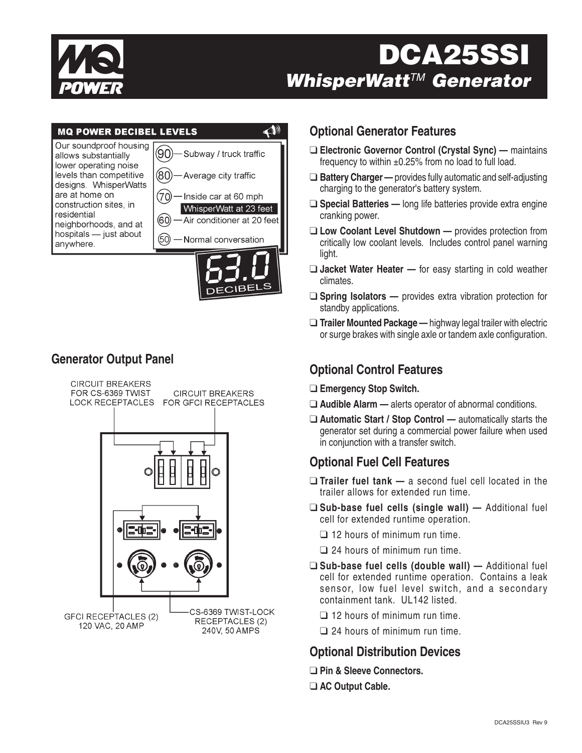

# **DCA25S WhisperWatt**TM **Generator**



### **Generator Output Panel**



#### **Optional Generator Features**

- ❑ **Electronic Governor Control (Crystal Sync)** maintains frequency to within ±0.25% from no load to full load.
- ❑ **Battery Charger** provides fully automatic and self-adjusting charging to the generator's battery system.
- ❑ **Special Batteries** long life batteries provide extra engine cranking power.
- ❑ **Low Coolant Level Shutdown** provides protection from critically low coolant levels. Includes control panel warning light.
- ❑ **Jacket Water Heater** for easy starting in cold weather climates.
- ❑ **Spring Isolators** provides extra vibration protection for standby applications.
- ❑ **Trailer Mounted Package** highway legal trailer with electric or surge brakes with single axle or tandem axle configuration.

## **Optional Control Features**

- ❑ **Emergency Stop Switch.**
- ❑ **Audible Alarm** alerts operator of abnormal conditions.
- ❑ **Automatic Start / Stop Control** automatically starts the generator set during a commercial power failure when used in conjunction with a transfer switch.

## **Optional Fuel Cell Features**

- ❑ **Trailer fuel tank** a second fuel cell located in the trailer allows for extended run time.
- ❑ **Sub-base fuel cells (single wall)** Additional fuel cell for extended runtime operation.
	- ❑ 12 hours of minimum run time.
	- ❑ 24 hours of minimum run time.
- ❑ **Sub-base fuel cells (double wall)** Additional fuel cell for extended runtime operation. Contains a leak sensor, low fuel level switch, and a secondary containment tank. UL142 listed.
	- ❑ 12 hours of minimum run time.
	- ❑ 24 hours of minimum run time.

### **Optional Distribution Devices**

- ❑ **Pin & Sleeve Connectors.**
- ❑ **AC Output Cable.**